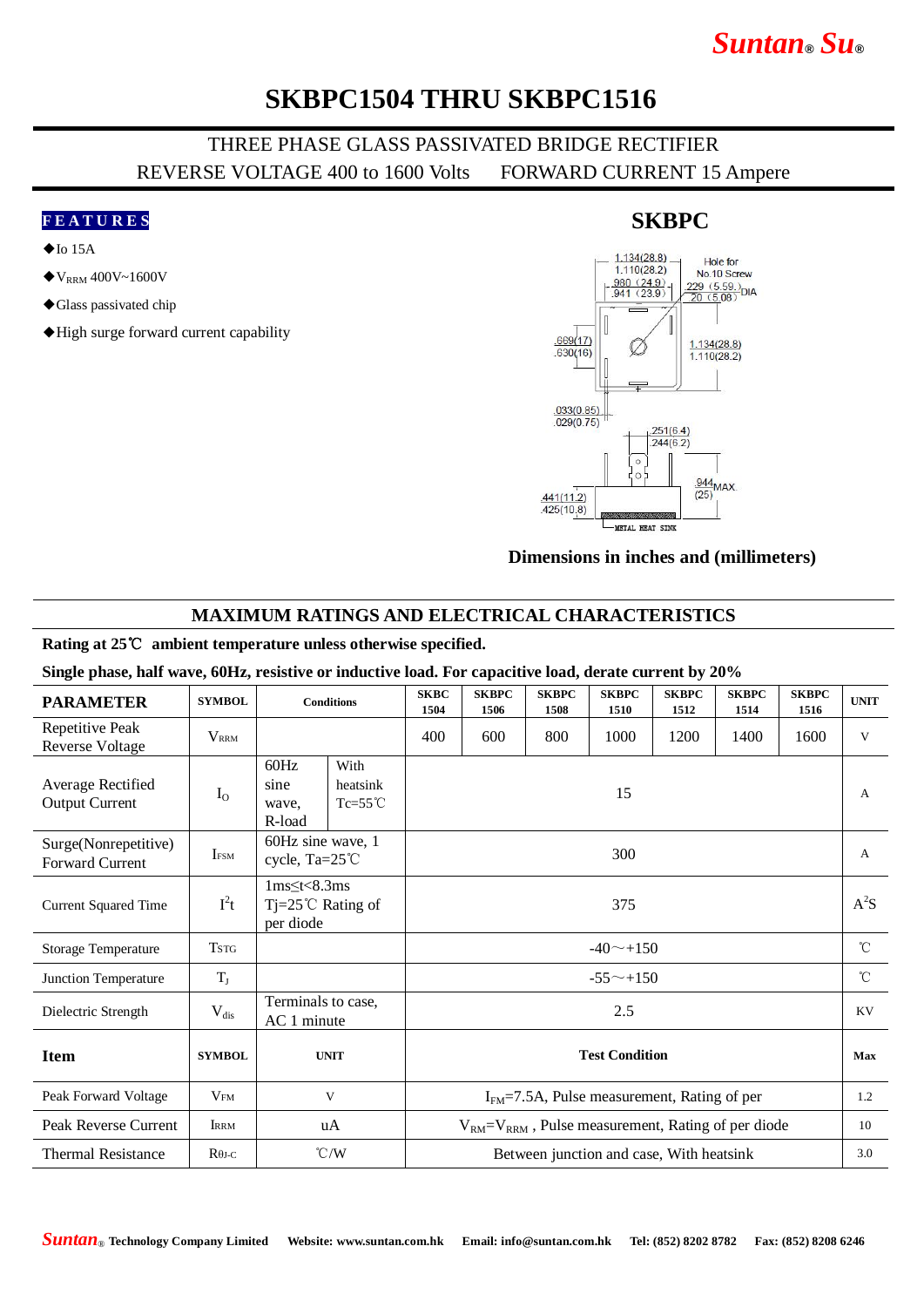# *Suntan***®** *Su***®**

## **SKBPC1504 THRU SKBPC1516**

### THREE PHASE GLASS PASSIVATED BRIDGE RECTIFIER REVERSE VOLTAGE 400 to 1600 Volts FORWARD CURRENT 15 Ampere

#### **F E A T U R E S**

- $\blacklozenge$ Io 15A
- $\blacklozenge$  V<sub>RRM</sub> 400V~1600V
- ◆Glass passivated chip
- ◆High surge forward current capability

#### $1.134(28.8)$ Hole for  $1.110(28.2)$ No.10 Screw  $\frac{980 (24.9)}{941 (23.9)}$ No. Tu Screw<br> $\frac{229 (5.59)}{20 (5.08)}$ DIA  $.669(17)$  $1.134(28.8)$  $.630(16)$  $1.110(28.2)$  $.033(0.85)$  $.029(0.75)$  $.251(6.4)$  $.244(6.2)$  $\epsilon$  $\frac{944}{95}$ MAX  $(25)$  $.441(11.2)$  $.425(10.8)$ **METAL HEAT SINK**

#### **Dimensions in inches and (millimeters)**

### **MAXIMUM RATINGS AND ELECTRICAL CHARACTERISTICS**

#### **Rating at 25**℃ **ambient temperature unless otherwise specified.**

#### **Single phase, half wave, 60Hz, resistive or inductive load. For capacitive load, derate current by 20%**

| <b>PARAMETER</b>                           | <b>SYMBOL</b>           | <b>Conditions</b>                                                       |  | <b>SKBC</b><br>1504                                         | <b>SKBPC</b><br>1506 | <b>SKBPC</b><br>1508 | <b>SKBPC</b><br>1510 | <b>SKBPC</b><br>1512 | <b>SKBPC</b><br>1514 | <b>SKBPC</b><br>1516 | <b>UNIT</b>  |
|--------------------------------------------|-------------------------|-------------------------------------------------------------------------|--|-------------------------------------------------------------|----------------------|----------------------|----------------------|----------------------|----------------------|----------------------|--------------|
| Repetitive Peak<br><b>Reverse Voltage</b>  | <b>V</b> <sub>RRM</sub> |                                                                         |  | 400                                                         | 600                  | 800                  | 1000                 | 1200                 | 1400                 | 1600                 | V            |
| Average Rectified<br><b>Output Current</b> | $I_{O}$                 | 60Hz<br>With<br>sine<br>heatsink<br>$Tc=55^{\circ}C$<br>wave,<br>R-load |  | 15                                                          |                      |                      |                      |                      |                      |                      | A            |
| Surge(Nonrepetitive)<br>Forward Current    | <b>IFSM</b>             | 60Hz sine wave, 1<br>cycle, Ta=25°C                                     |  | 300                                                         |                      |                      |                      |                      |                      |                      | $\mathbf{A}$ |
| <b>Current Squared Time</b>                | $I^2t$                  | $1ms \leq t < 8.3ms$<br>$Tj = 25^{\circ}C$ Rating of<br>per diode       |  | 375                                                         |                      |                      |                      |                      |                      |                      | $A^2S$       |
| <b>Storage Temperature</b>                 | <b>TSTG</b>             |                                                                         |  | $-40$ $-+150$                                               |                      |                      |                      |                      |                      |                      | $^{\circ}$ C |
| Junction Temperature                       | $T_{J}$                 |                                                                         |  | $-55^{\sim}+150$                                            |                      |                      |                      |                      |                      |                      | $^{\circ}$ C |
| Dielectric Strength                        | $V_{dis}$               | Terminals to case,<br>AC 1 minute                                       |  | 2.5                                                         |                      |                      |                      |                      |                      |                      | KV           |
| <b>Item</b>                                | <b>SYMBOL</b>           | <b>UNIT</b>                                                             |  | <b>Test Condition</b>                                       |                      |                      |                      |                      |                      |                      | Max          |
| Peak Forward Voltage                       | V <sub>FM</sub>         | V                                                                       |  | $IFM=7.5A$ , Pulse measurement, Rating of per               |                      |                      |                      |                      |                      |                      | 1.2          |
| Peak Reverse Current                       | <b>IRRM</b>             | uA                                                                      |  | $V_{RM} = V_{RRM}$ , Pulse measurement, Rating of per diode |                      |                      |                      |                      |                      |                      | 10           |
| <b>Thermal Resistance</b>                  | $R\theta$ J-C           | $\degree$ C/W                                                           |  | Between junction and case, With heatsink                    |                      |                      |                      |                      |                      |                      | 3.0          |

### **SKBPC**